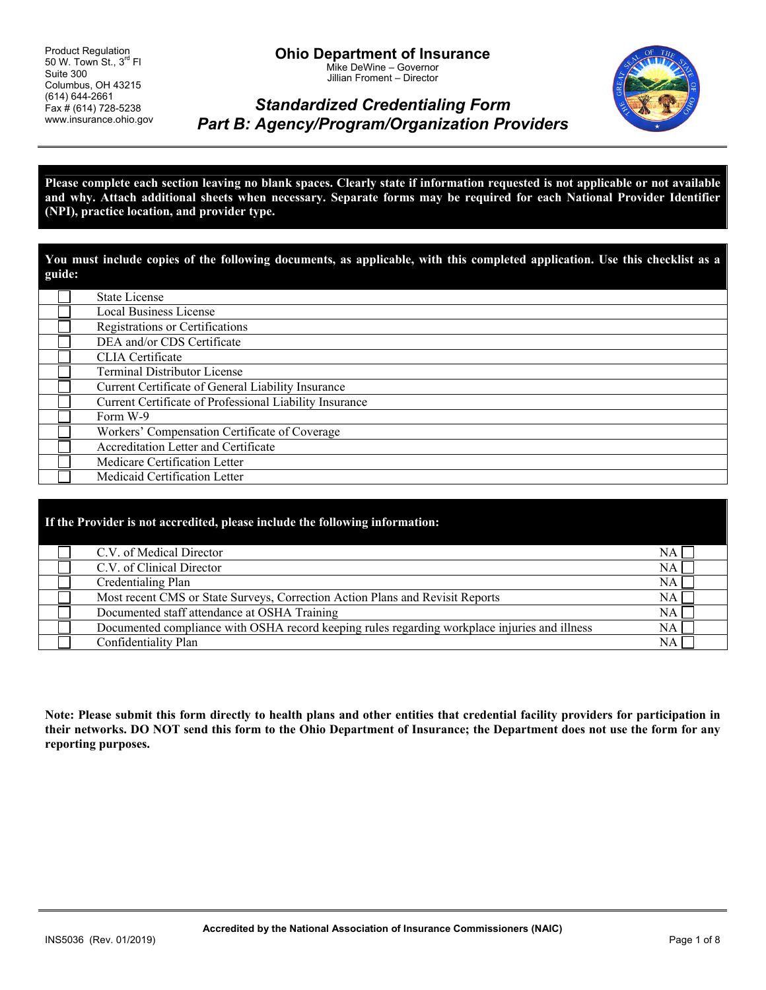Product Regulation 50 W. Town St.,  $3^{rd}$  FI Suite 300 Columbus, OH 43215 (614) 644-2661 Fax # (614) 728-5238 www.insurance.ohio.gov



# *Standardized Credentialing Form Part B: Agency/Program/Organization Providers*

**Please complete each section leaving no blank spaces. Clearly state if information requested is not applicable or not available and why. Attach additional sheets when necessary. Separate forms may be required for each National Provider Identifier (NPI), practice location, and provider type.** 

**You must include copies of the following documents, as applicable, with this completed application. Use this checklist as a guide:** 

| <b>State License</b>                                    |
|---------------------------------------------------------|
| <b>Local Business License</b>                           |
| Registrations or Certifications                         |
| DEA and/or CDS Certificate                              |
| CLIA Certificate                                        |
| <b>Terminal Distributor License</b>                     |
| Current Certificate of General Liability Insurance      |
| Current Certificate of Professional Liability Insurance |
| Form W-9                                                |
| Workers' Compensation Certificate of Coverage           |
| Accreditation Letter and Certificate                    |
| Medicare Certification Letter                           |
| Medicaid Certification Letter                           |

| If the Provider is not accredited, please include the following information: |                                                                                               |           |  |  |  |  |
|------------------------------------------------------------------------------|-----------------------------------------------------------------------------------------------|-----------|--|--|--|--|
|                                                                              | C.V. of Medical Director                                                                      | NA        |  |  |  |  |
|                                                                              | C.V. of Clinical Director                                                                     | NA        |  |  |  |  |
|                                                                              | Credentialing Plan                                                                            | NA        |  |  |  |  |
|                                                                              | Most recent CMS or State Surveys, Correction Action Plans and Revisit Reports                 | NA        |  |  |  |  |
|                                                                              | Documented staff attendance at OSHA Training                                                  | NA.       |  |  |  |  |
|                                                                              | Documented compliance with OSHA record keeping rules regarding workplace injuries and illness | NA.       |  |  |  |  |
|                                                                              | Confidentiality Plan                                                                          | <b>NA</b> |  |  |  |  |

**Note: Please submit this form directly to health plans and other entities that credential facility providers for participation in their networks. DO NOT send this form to the Ohio Department of Insurance; the Department does not use the form for any reporting purposes.**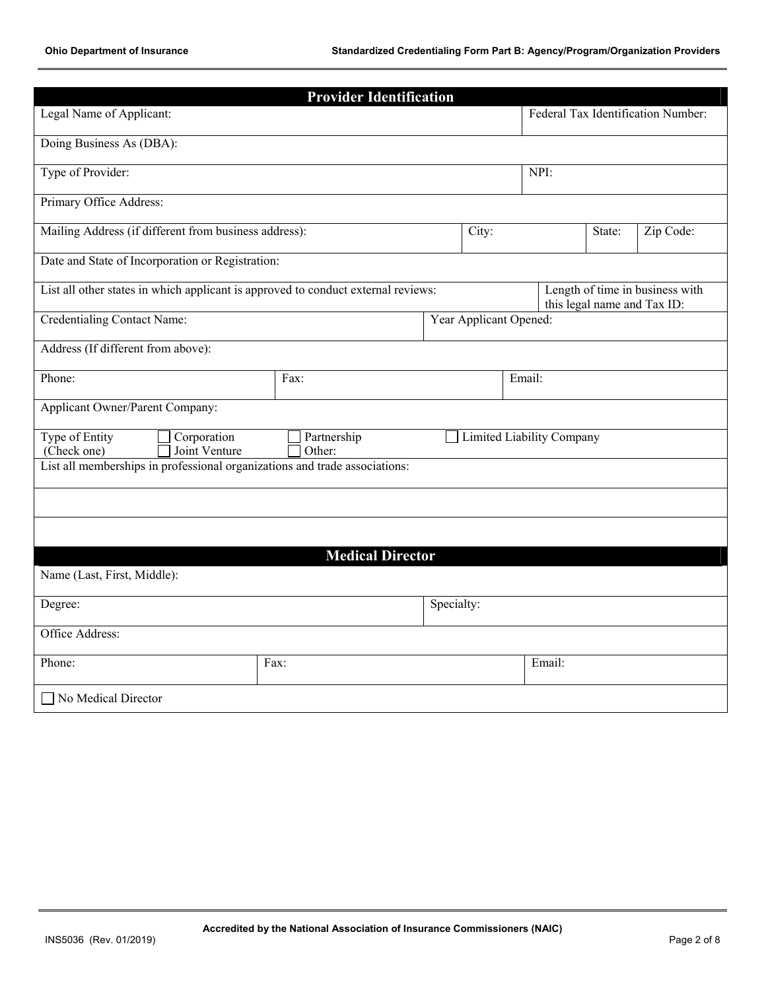|                                                                                      | <b>Provider Identification</b> |                                    |                                  |        |                             |                                 |  |
|--------------------------------------------------------------------------------------|--------------------------------|------------------------------------|----------------------------------|--------|-----------------------------|---------------------------------|--|
| Legal Name of Applicant:                                                             |                                | Federal Tax Identification Number: |                                  |        |                             |                                 |  |
| Doing Business As (DBA):                                                             |                                |                                    |                                  |        |                             |                                 |  |
| Type of Provider:                                                                    |                                |                                    |                                  | NPI:   |                             |                                 |  |
| Primary Office Address:                                                              |                                |                                    |                                  |        |                             |                                 |  |
| Mailing Address (if different from business address):                                |                                |                                    | City:                            |        | Zip Code:                   |                                 |  |
| Date and State of Incorporation or Registration:                                     |                                |                                    |                                  |        |                             |                                 |  |
| List all other states in which applicant is approved to conduct external reviews:    |                                |                                    |                                  |        | this legal name and Tax ID: | Length of time in business with |  |
| <b>Credentialing Contact Name:</b>                                                   |                                |                                    | Year Applicant Opened:           |        |                             |                                 |  |
| Address (If different from above):                                                   |                                |                                    |                                  |        |                             |                                 |  |
| Phone:                                                                               | Fax:                           | Email:                             |                                  |        |                             |                                 |  |
| <b>Applicant Owner/Parent Company:</b>                                               |                                |                                    |                                  |        |                             |                                 |  |
| Type of Entity<br>Corporation<br>(Check one)<br>Joint Venture                        |                                |                                    | <b>Limited Liability Company</b> |        |                             |                                 |  |
| Other:<br>List all memberships in professional organizations and trade associations: |                                |                                    |                                  |        |                             |                                 |  |
|                                                                                      |                                |                                    |                                  |        |                             |                                 |  |
|                                                                                      |                                |                                    |                                  |        |                             |                                 |  |
|                                                                                      | <b>Medical Director</b>        |                                    |                                  |        |                             |                                 |  |
| Name (Last, First, Middle):                                                          |                                |                                    |                                  |        |                             |                                 |  |
| Specialty:<br>Degree:                                                                |                                |                                    |                                  |        |                             |                                 |  |
| Office Address:                                                                      |                                |                                    |                                  |        |                             |                                 |  |
| Phone:                                                                               | Fax:                           |                                    |                                  | Email: |                             |                                 |  |
| No Medical Director                                                                  |                                |                                    |                                  |        |                             |                                 |  |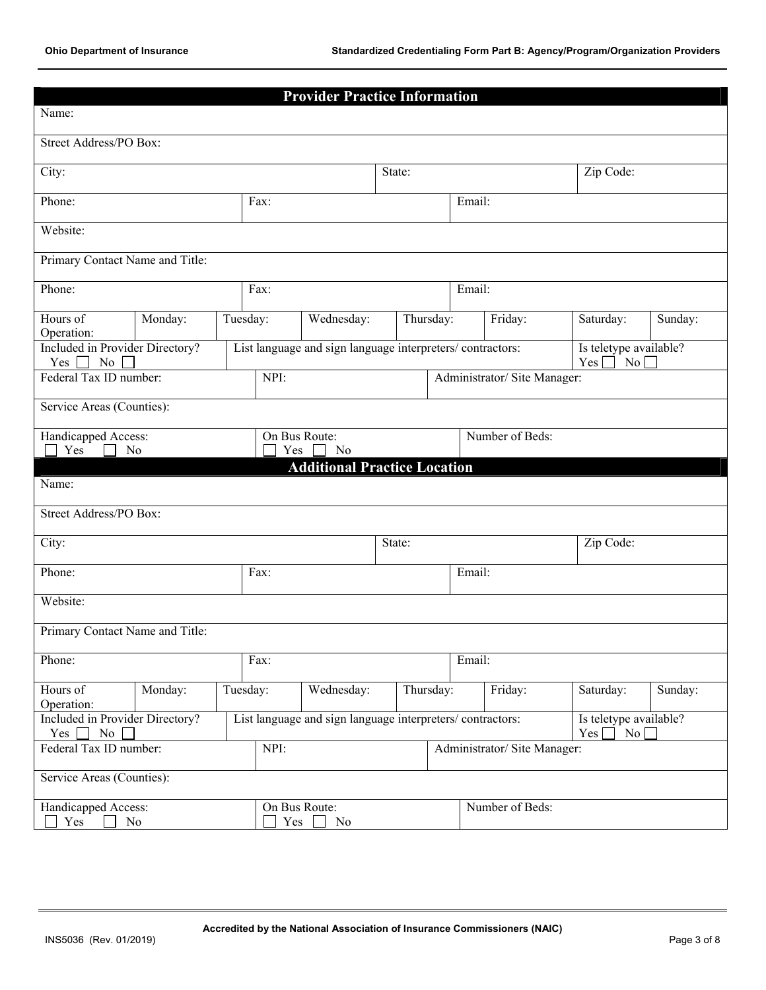|                                                                                                                                                                  |          | <b>Provider Practice Information</b>                      |                 |        |                             |                                                                |         |
|------------------------------------------------------------------------------------------------------------------------------------------------------------------|----------|-----------------------------------------------------------|-----------------|--------|-----------------------------|----------------------------------------------------------------|---------|
| Name:                                                                                                                                                            |          |                                                           |                 |        |                             |                                                                |         |
| Street Address/PO Box:                                                                                                                                           |          |                                                           |                 |        |                             |                                                                |         |
| City:                                                                                                                                                            |          |                                                           | State:          |        |                             | Zip Code:                                                      |         |
| Phone:                                                                                                                                                           | Fax:     |                                                           |                 | Email: |                             |                                                                |         |
| Website:                                                                                                                                                         |          |                                                           |                 |        |                             |                                                                |         |
| Primary Contact Name and Title:                                                                                                                                  |          |                                                           |                 |        |                             |                                                                |         |
| Phone:                                                                                                                                                           | Fax:     |                                                           |                 | Email: |                             |                                                                |         |
| Hours of<br>Monday:<br>Operation:                                                                                                                                | Tuesday: | Wednesday:                                                | Thursday:       |        | Friday:                     | Saturday:                                                      | Sunday: |
| Included in Provider Directory?<br>N <sub>0</sub><br>$Yes \mid$<br>$\blacksquare$                                                                                |          | List language and sign language interpreters/contractors: |                 |        |                             | Is teletype available?<br>$Yes \Box$<br>$\overline{\text{No}}$ |         |
| Federal Tax ID number:                                                                                                                                           | NPI:     |                                                           |                 |        | Administrator/Site Manager: |                                                                |         |
| Service Areas (Counties):                                                                                                                                        |          |                                                           |                 |        |                             |                                                                |         |
| Handicapped Access:<br>Yes<br>N <sub>0</sub>                                                                                                                     | Yes      | On Bus Route:<br>N <sub>0</sub>                           | Number of Beds: |        |                             |                                                                |         |
|                                                                                                                                                                  |          | <b>Additional Practice Location</b>                       |                 |        |                             |                                                                |         |
| Name:                                                                                                                                                            |          |                                                           |                 |        |                             |                                                                |         |
| Street Address/PO Box:                                                                                                                                           |          |                                                           |                 |        |                             |                                                                |         |
| Zip Code:<br>City:<br>State:                                                                                                                                     |          |                                                           |                 |        |                             |                                                                |         |
| Phone:                                                                                                                                                           | Fax:     | Email:                                                    |                 |        |                             |                                                                |         |
| Website:                                                                                                                                                         |          |                                                           |                 |        |                             |                                                                |         |
| Primary Contact Name and Title:                                                                                                                                  |          |                                                           |                 |        |                             |                                                                |         |
| Phone:                                                                                                                                                           | Fax:     |                                                           |                 |        | Email:                      |                                                                |         |
| Tuesday:<br>Hours of<br>Monday:<br>Wednesday:                                                                                                                    |          |                                                           | Thursday:       |        | Friday:                     | Saturday:                                                      | Sunday: |
| Operation:<br>Included in Provider Directory?<br>List language and sign language interpreters/contractors:<br>Is teletype available?<br>No<br>Yes [<br>No<br>Yes |          |                                                           |                 |        |                             |                                                                |         |
| Federal Tax ID number:<br>NPI:<br>Administrator/ Site Manager:                                                                                                   |          |                                                           |                 |        |                             |                                                                |         |
| Service Areas (Counties):                                                                                                                                        |          |                                                           |                 |        |                             |                                                                |         |
|                                                                                                                                                                  |          |                                                           |                 |        |                             |                                                                |         |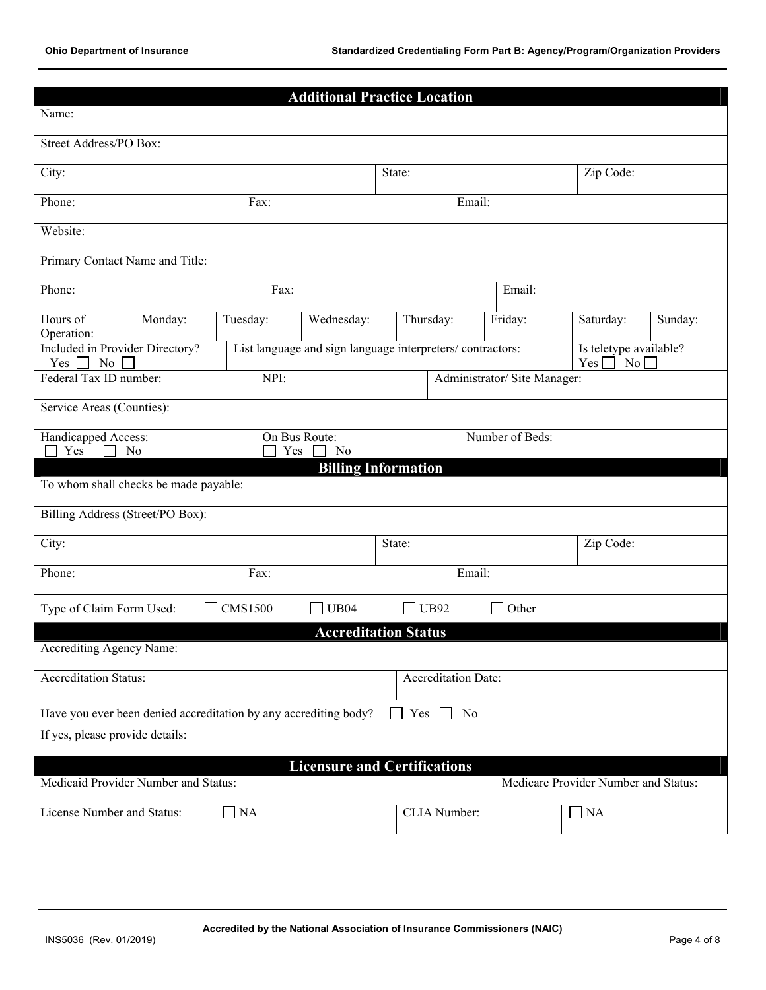|                                                                                                                     |                |                |      | <b>Additional Practice Location</b>                       |        |              |        |                              |                                                  |         |
|---------------------------------------------------------------------------------------------------------------------|----------------|----------------|------|-----------------------------------------------------------|--------|--------------|--------|------------------------------|--------------------------------------------------|---------|
| Name:                                                                                                               |                |                |      |                                                           |        |              |        |                              |                                                  |         |
| Street Address/PO Box:                                                                                              |                |                |      |                                                           |        |              |        |                              |                                                  |         |
| City:                                                                                                               |                |                |      |                                                           | State: |              |        |                              | Zip Code:                                        |         |
| Phone:                                                                                                              | Email:<br>Fax: |                |      |                                                           |        |              |        |                              |                                                  |         |
| Website:                                                                                                            |                |                |      |                                                           |        |              |        |                              |                                                  |         |
| Primary Contact Name and Title:                                                                                     |                |                |      |                                                           |        |              |        |                              |                                                  |         |
| Phone:                                                                                                              |                |                | Fax: |                                                           |        |              |        | Email:                       |                                                  |         |
| Hours of                                                                                                            | Monday:        | Tuesday:       |      | Wednesday:                                                |        | Thursday:    |        | Friday:                      | Saturday:                                        | Sunday: |
| Operation:<br>Included in Provider Directory?<br>$\rm No$<br>Yes                                                    |                |                |      | List language and sign language interpreters/contractors: |        |              |        |                              | Is teletype available?<br>Yes<br>No <sub>l</sub> |         |
| Federal Tax ID number:                                                                                              |                |                | NPI: |                                                           |        |              |        | Administrator/ Site Manager: |                                                  |         |
| Service Areas (Counties):                                                                                           |                |                |      |                                                           |        |              |        |                              |                                                  |         |
| Handicapped Access:                                                                                                 |                |                |      | On Bus Route:                                             |        |              |        | Number of Beds:              |                                                  |         |
| Yes<br>N <sub>0</sub>                                                                                               |                |                | Yes  | N <sub>0</sub><br><b>Billing Information</b>              |        |              |        |                              |                                                  |         |
| To whom shall checks be made payable:                                                                               |                |                |      |                                                           |        |              |        |                              |                                                  |         |
| Billing Address (Street/PO Box):                                                                                    |                |                |      |                                                           |        |              |        |                              |                                                  |         |
| City:                                                                                                               |                |                |      |                                                           | State: |              |        |                              | Zip Code:                                        |         |
| Phone:                                                                                                              |                | Fax:           |      |                                                           |        |              | Email: |                              |                                                  |         |
| Type of Claim Form Used:                                                                                            |                | <b>CMS1500</b> |      | <b>UB04</b>                                               |        | $\Box$ UB92  |        | Other                        |                                                  |         |
|                                                                                                                     |                |                |      | <b>Accreditation Status</b>                               |        |              |        |                              |                                                  |         |
| Accrediting Agency Name:                                                                                            |                |                |      |                                                           |        |              |        |                              |                                                  |         |
| <b>Accreditation Status:</b><br>Accreditation Date:                                                                 |                |                |      |                                                           |        |              |        |                              |                                                  |         |
| Have you ever been denied accreditation by any accrediting body?<br>Yes [<br>N <sub>0</sub>                         |                |                |      |                                                           |        |              |        |                              |                                                  |         |
| If yes, please provide details:                                                                                     |                |                |      |                                                           |        |              |        |                              |                                                  |         |
| <b>Licensure and Certifications</b><br>Medicaid Provider Number and Status:<br>Medicare Provider Number and Status: |                |                |      |                                                           |        |              |        |                              |                                                  |         |
|                                                                                                                     |                |                |      |                                                           |        |              |        |                              |                                                  |         |
| License Number and Status:                                                                                          |                | $\Box$ NA      |      |                                                           |        | CLIA Number: |        |                              | $\neg$ NA                                        |         |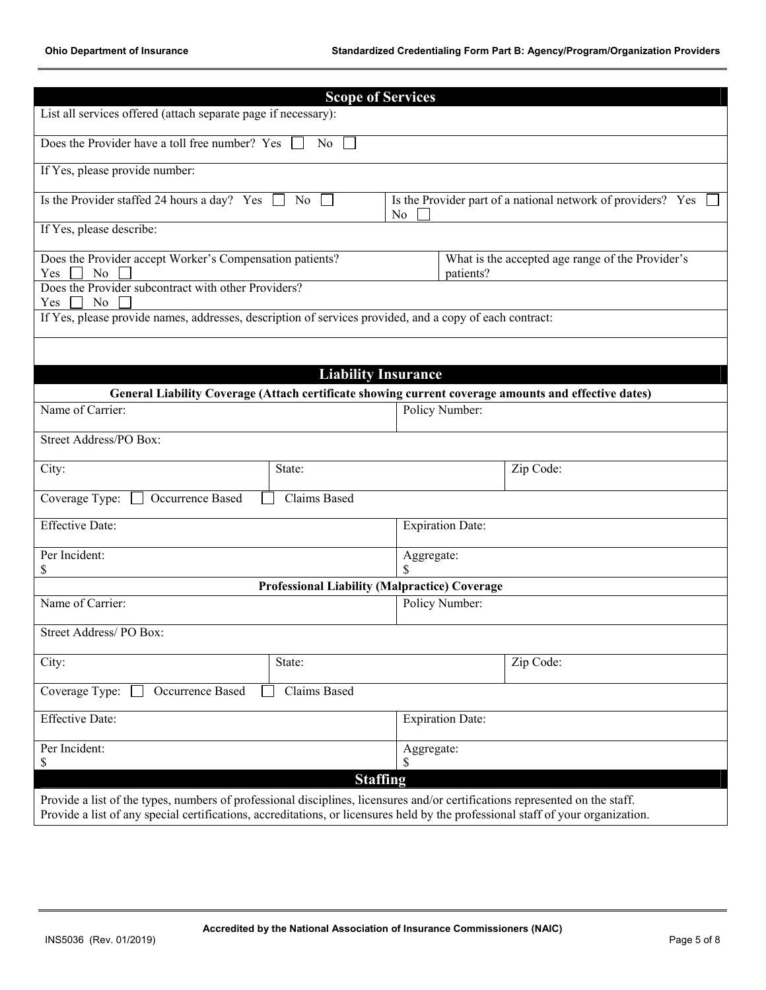|                                                                                                                                  | <b>Scope of Services</b>                                           |                         |                                                              |  |  |  |  |
|----------------------------------------------------------------------------------------------------------------------------------|--------------------------------------------------------------------|-------------------------|--------------------------------------------------------------|--|--|--|--|
| List all services offered (attach separate page if necessary):                                                                   |                                                                    |                         |                                                              |  |  |  |  |
|                                                                                                                                  | Does the Provider have a toll free number? Yes [<br>N <sub>o</sub> |                         |                                                              |  |  |  |  |
| If Yes, please provide number:                                                                                                   |                                                                    |                         |                                                              |  |  |  |  |
| Is the Provider staffed 24 hours a day? Yes                                                                                      | No<br>$\perp$                                                      | No                      | Is the Provider part of a national network of providers? Yes |  |  |  |  |
| If Yes, please describe:                                                                                                         |                                                                    |                         |                                                              |  |  |  |  |
| Does the Provider accept Worker's Compensation patients?<br>N <sub>0</sub><br>Yes                                                |                                                                    | patients?               | What is the accepted age range of the Provider's             |  |  |  |  |
| Does the Provider subcontract with other Providers?<br>N <sub>o</sub>                                                            |                                                                    |                         |                                                              |  |  |  |  |
| Yes<br>If Yes, please provide names, addresses, description of services provided, and a copy of each contract:                   |                                                                    |                         |                                                              |  |  |  |  |
|                                                                                                                                  |                                                                    |                         |                                                              |  |  |  |  |
|                                                                                                                                  |                                                                    |                         |                                                              |  |  |  |  |
|                                                                                                                                  | <b>Liability Insurance</b>                                         |                         |                                                              |  |  |  |  |
| General Liability Coverage (Attach certificate showing current coverage amounts and effective dates)                             |                                                                    |                         |                                                              |  |  |  |  |
| Name of Carrier:                                                                                                                 |                                                                    | Policy Number:          |                                                              |  |  |  |  |
| Street Address/PO Box:                                                                                                           |                                                                    |                         |                                                              |  |  |  |  |
|                                                                                                                                  |                                                                    |                         |                                                              |  |  |  |  |
| City:                                                                                                                            | State:                                                             |                         | Zip Code:                                                    |  |  |  |  |
| Coverage Type:<br>Occurrence Based                                                                                               | Claims Based                                                       |                         |                                                              |  |  |  |  |
| <b>Effective Date:</b>                                                                                                           |                                                                    | <b>Expiration Date:</b> |                                                              |  |  |  |  |
| Per Incident:                                                                                                                    |                                                                    | Aggregate:<br>\$        |                                                              |  |  |  |  |
| \$                                                                                                                               | <b>Professional Liability (Malpractice) Coverage</b>               |                         |                                                              |  |  |  |  |
| Name of Carrier:                                                                                                                 |                                                                    | Policy Number:          |                                                              |  |  |  |  |
|                                                                                                                                  |                                                                    |                         |                                                              |  |  |  |  |
| Street Address/PO Box:                                                                                                           |                                                                    |                         |                                                              |  |  |  |  |
| City:                                                                                                                            | State:                                                             |                         | Zip Code:                                                    |  |  |  |  |
| Claims Based<br>Coverage Type:<br>Occurrence Based                                                                               |                                                                    |                         |                                                              |  |  |  |  |
| <b>Effective Date:</b>                                                                                                           |                                                                    | <b>Expiration Date:</b> |                                                              |  |  |  |  |
| Per Incident:<br>Aggregate:                                                                                                      |                                                                    |                         |                                                              |  |  |  |  |
| \$                                                                                                                               | S                                                                  |                         |                                                              |  |  |  |  |
|                                                                                                                                  | <b>Staffing</b>                                                    |                         |                                                              |  |  |  |  |
| Provide a list of the types, numbers of professional disciplines, licensures and/or certifications represented on the staff.     |                                                                    |                         |                                                              |  |  |  |  |
| Provide a list of any special certifications, accreditations, or licensures held by the professional staff of your organization. |                                                                    |                         |                                                              |  |  |  |  |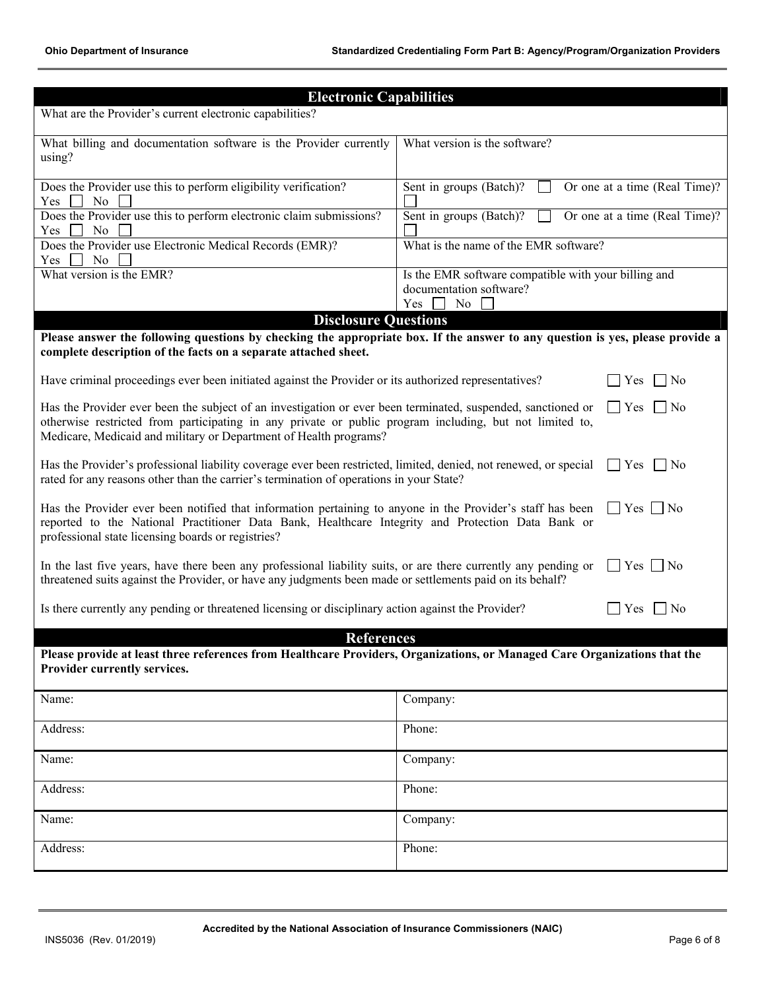| <b>Electronic Capabilities</b>                                                                                                                                                                                                                                                                                                     |                                                                                              |  |  |  |  |  |
|------------------------------------------------------------------------------------------------------------------------------------------------------------------------------------------------------------------------------------------------------------------------------------------------------------------------------------|----------------------------------------------------------------------------------------------|--|--|--|--|--|
| What are the Provider's current electronic capabilities?                                                                                                                                                                                                                                                                           |                                                                                              |  |  |  |  |  |
| What billing and documentation software is the Provider currently<br>using?                                                                                                                                                                                                                                                        | What version is the software?                                                                |  |  |  |  |  |
| Does the Provider use this to perform eligibility verification?<br>Sent in groups (Batch)?<br>Or one at a time (Real Time)?<br>N <sub>0</sub><br>Yes                                                                                                                                                                               |                                                                                              |  |  |  |  |  |
| Does the Provider use this to perform electronic claim submissions?<br>Yes<br>N <sub>0</sub>                                                                                                                                                                                                                                       | Sent in groups (Batch)?<br>Or one at a time (Real Time)?                                     |  |  |  |  |  |
| Does the Provider use Electronic Medical Records (EMR)?<br>N <sub>0</sub><br>Yes                                                                                                                                                                                                                                                   | What is the name of the EMR software?                                                        |  |  |  |  |  |
| What version is the EMR?                                                                                                                                                                                                                                                                                                           | Is the EMR software compatible with your billing and<br>documentation software?<br>Yes<br>No |  |  |  |  |  |
| <b>Disclosure Questions</b><br>Please answer the following questions by checking the appropriate box. If the answer to any question is yes, please provide a<br>complete description of the facts on a separate attached sheet.                                                                                                    |                                                                                              |  |  |  |  |  |
| Have criminal proceedings ever been initiated against the Provider or its authorized representatives?                                                                                                                                                                                                                              | Yes<br>No.                                                                                   |  |  |  |  |  |
| Has the Provider ever been the subject of an investigation or ever been terminated, suspended, sanctioned or<br>$\blacksquare$ Yes<br>$\vert$   No<br>otherwise restricted from participating in any private or public program including, but not limited to,<br>Medicare, Medicaid and military or Department of Health programs? |                                                                                              |  |  |  |  |  |
| Has the Provider's professional liability coverage ever been restricted, limited, denied, not renewed, or special<br>$ $   Yes     No<br>rated for any reasons other than the carrier's termination of operations in your State?                                                                                                   |                                                                                              |  |  |  |  |  |
| Has the Provider ever been notified that information pertaining to anyone in the Provider's staff has been<br>$\Box$ Yes $\Box$ No<br>reported to the National Practitioner Data Bank, Healthcare Integrity and Protection Data Bank or<br>professional state licensing boards or registries?                                      |                                                                                              |  |  |  |  |  |
| In the last five years, have there been any professional liability suits, or are there currently any pending or<br>$Yes$    No<br>threatened suits against the Provider, or have any judgments been made or settlements paid on its behalf?                                                                                        |                                                                                              |  |  |  |  |  |
| Is there currently any pending or threatened licensing or disciplinary action against the Provider?<br>N <sub>0</sub><br>Yes                                                                                                                                                                                                       |                                                                                              |  |  |  |  |  |
| <b>References</b>                                                                                                                                                                                                                                                                                                                  |                                                                                              |  |  |  |  |  |
| Please provide at least three references from Healthcare Providers, Organizations, or Managed Care Organizations that the<br>Provider currently services.                                                                                                                                                                          |                                                                                              |  |  |  |  |  |
| Name:<br>Company:                                                                                                                                                                                                                                                                                                                  |                                                                                              |  |  |  |  |  |
| Address:<br>Phone:                                                                                                                                                                                                                                                                                                                 |                                                                                              |  |  |  |  |  |
| Name:                                                                                                                                                                                                                                                                                                                              | Company:                                                                                     |  |  |  |  |  |
| Address:                                                                                                                                                                                                                                                                                                                           | Phone:                                                                                       |  |  |  |  |  |
| Name:<br>Company:                                                                                                                                                                                                                                                                                                                  |                                                                                              |  |  |  |  |  |
| Address:<br>Phone:                                                                                                                                                                                                                                                                                                                 |                                                                                              |  |  |  |  |  |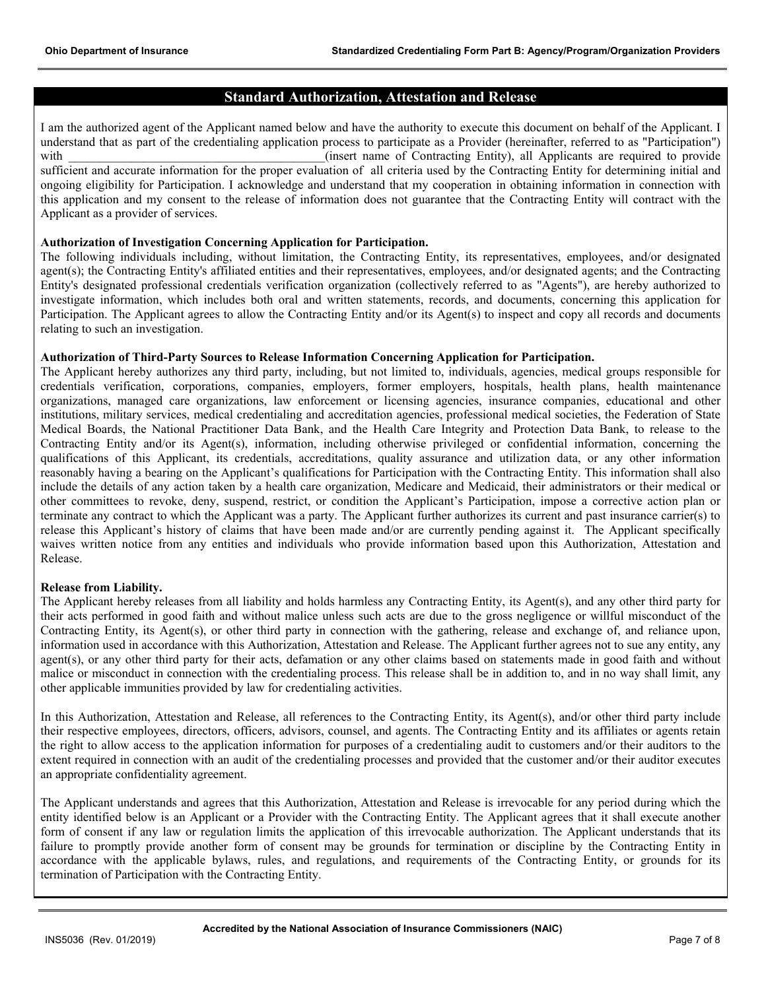## **Standard Authorization, Attestation and Release**

I am the authorized agent of the Applicant named below and have the authority to execute this document on behalf of the Applicant. I understand that as part of the credentialing application process to participate as a Provider (hereinafter, referred to as "Participation") with  $(insert name of Contracting Entity)$ , all Applicants are required to provide sufficient and accurate information for the proper evaluation of all criteria used by the Contracting Entity for determining initial and ongoing eligibility for Participation. I acknowledge and understand that my cooperation in obtaining information in connection with this application and my consent to the release of information does not guarantee that the Contracting Entity will contract with the Applicant as a provider of services.

### **Authorization of Investigation Concerning Application for Participation.**

The following individuals including, without limitation, the Contracting Entity, its representatives, employees, and/or designated agent(s); the Contracting Entity's affiliated entities and their representatives, employees, and/or designated agents; and the Contracting Entity's designated professional credentials verification organization (collectively referred to as "Agents"), are hereby authorized to investigate information, which includes both oral and written statements, records, and documents, concerning this application for Participation. The Applicant agrees to allow the Contracting Entity and/or its Agent(s) to inspect and copy all records and documents relating to such an investigation.

#### **Authorization of Third-Party Sources to Release Information Concerning Application for Participation.**

The Applicant hereby authorizes any third party, including, but not limited to, individuals, agencies, medical groups responsible for credentials verification, corporations, companies, employers, former employers, hospitals, health plans, health maintenance organizations, managed care organizations, law enforcement or licensing agencies, insurance companies, educational and other institutions, military services, medical credentialing and accreditation agencies, professional medical societies, the Federation of State Medical Boards, the National Practitioner Data Bank, and the Health Care Integrity and Protection Data Bank, to release to the Contracting Entity and/or its Agent(s), information, including otherwise privileged or confidential information, concerning the qualifications of this Applicant, its credentials, accreditations, quality assurance and utilization data, or any other information reasonably having a bearing on the Applicant's qualifications for Participation with the Contracting Entity. This information shall also include the details of any action taken by a health care organization, Medicare and Medicaid, their administrators or their medical or other committees to revoke, deny, suspend, restrict, or condition the Applicant's Participation, impose a corrective action plan or terminate any contract to which the Applicant was a party. The Applicant further authorizes its current and past insurance carrier(s) to release this Applicant's history of claims that have been made and/or are currently pending against it. The Applicant specifically waives written notice from any entities and individuals who provide information based upon this Authorization, Attestation and Release.

#### **Release from Liability.**

The Applicant hereby releases from all liability and holds harmless any Contracting Entity, its Agent(s), and any other third party for their acts performed in good faith and without malice unless such acts are due to the gross negligence or willful misconduct of the Contracting Entity, its Agent(s), or other third party in connection with the gathering, release and exchange of, and reliance upon, information used in accordance with this Authorization, Attestation and Release. The Applicant further agrees not to sue any entity, any agent(s), or any other third party for their acts, defamation or any other claims based on statements made in good faith and without malice or misconduct in connection with the credentialing process. This release shall be in addition to, and in no way shall limit, any other applicable immunities provided by law for credentialing activities.

In this Authorization, Attestation and Release, all references to the Contracting Entity, its Agent(s), and/or other third party include their respective employees, directors, officers, advisors, counsel, and agents. The Contracting Entity and its affiliates or agents retain the right to allow access to the application information for purposes of a credentialing audit to customers and/or their auditors to the extent required in connection with an audit of the credentialing processes and provided that the customer and/or their auditor executes an appropriate confidentiality agreement.

The Applicant understands and agrees that this Authorization, Attestation and Release is irrevocable for any period during which the entity identified below is an Applicant or a Provider with the Contracting Entity. The Applicant agrees that it shall execute another form of consent if any law or regulation limits the application of this irrevocable authorization. The Applicant understands that its failure to promptly provide another form of consent may be grounds for termination or discipline by the Contracting Entity in accordance with the applicable bylaws, rules, and regulations, and requirements of the Contracting Entity, or grounds for its termination of Participation with the Contracting Entity.